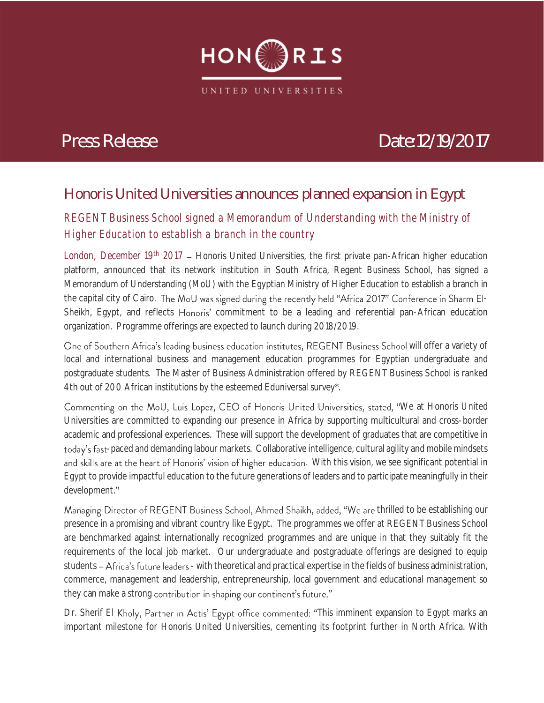

# *Press Release Date:12/19/2017*

*12/12/2017*

## **Honoris United Universities announces planned expansion in Egypt** *11.07.17*

## *REGENT Business School signed a Memorandum of Understanding with the Ministry of Higher Education to establish a branch in the country*

*London, December 19<sup>th</sup> 2017* – Honoris United Universities, the first private pan-African higher education platform, announced that its network institution in South Africa, Regent Business School, has signed a Memorandum of Understanding (MoU) with the Egyptian Ministry of Higher Education to establish a branch in the capital city of Cairo. The MoU was signed during the recently held "Africa 2017" Conference in Sharm El-Sheikh, Egypt, and reflects Honoris' commitment to be a leading and referential pan-African education organization. Programme offerings are expected to launch during 2018/2019.

One of Southern Africa's leading business education institutes, REGENT Business School will offer a variety of local and international business and management education programmes for Egyptian undergraduate and postgraduate students. The Master of Business Administration offered by REGENT Business School is ranked 4th out of 200 African institutions by the esteemed Eduniversal survey\*.

Commenting on the MoU, Luis Lopez, CEO of Honoris United Universities, stated, "We at Honoris United Universities are committed to expanding our presence in Africa by supporting multicultural and cross-border academic and professional experiences. These will support the development of graduates that are competitive in today's fast-paced and demanding labour markets. Collaborative intelligence, cultural agility and mobile mindsets and skills are at the heart of Honoris' vision of higher education. With this vision, we see significant potential in Egypt to provide impactful education to the future generations of leaders and to participate meaningfully in their development."

Managing Director of REGENT Business School, Ahmed Shaikh, added, "We are thrilled to be establishing our presence in a promising and vibrant country like Egypt. The programmes we offer at REGENT Business School are benchmarked against internationally recognized programmes and are unique in that they suitably fit the requirements of the local job market. Our undergraduate and postgraduate offerings are designed to equip students - Africa's future leaders - with theoretical and practical expertise in the fields of business administration, commerce, management and leadership, entrepreneurship, local government and educational management so they can make a strong contribution in shaping our continent's future."

Dr. Sherif El Kholy, Partner in Actis' Egypt office commented: "This imminent expansion to Egypt marks an important milestone for Honoris United Universities, cementing its footprint further in North Africa. With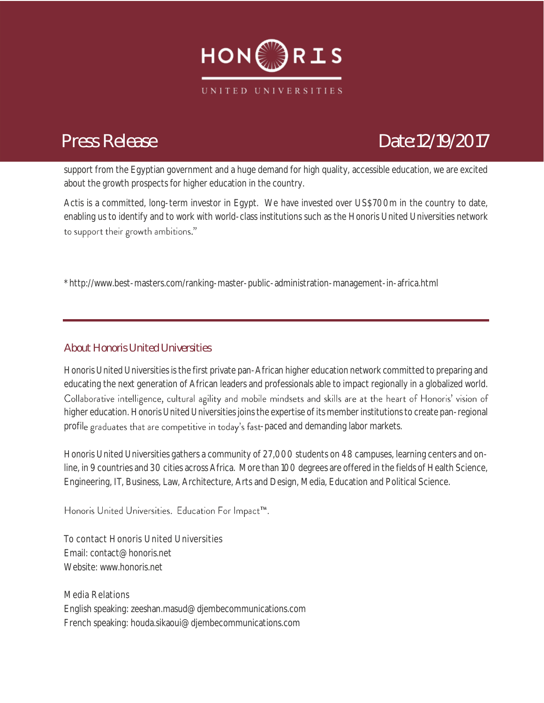

## *Press Release Date:12/19/2017*

*12/12/2017* support from the Egyptian government and a huge demand for high quality, accessible education, we are excited about the growth prospects for higher education in the country.

about the growth prospects for higher equeation in the country.<br>Actis is a committed, long-term investor in Egypt. We have invested over US\$700m in the country to date, enabling us to identify and to work with world-class institutions such as the Honoris United Universities network to support their growth ambitions."

\*<http://www.best-masters.com/ranking-master-public-administration-management-in-africa.html>

### **About Honoris United Universities**

Honoris United Universities is the first private pan-African higher education network committed to preparing and educating the next generation of African leaders and professionals able to impact regionally in a globalized world. Collaborative intelligence, cultural agility and mobile mindsets and skills are at the heart of Honoris' vision of higher education. Honoris United Universities joins the expertise of its member institutions to create pan-regional profile graduates that are competitive in today's fast-paced and demanding labor markets.

Honoris United Universities gathers a community of 27,000 students on 48 campuses, learning centers and online, in 9 countries and 30 cities across Africa. More than 100 degrees are offered in the fields of Health Science, Engineering, IT, Business, Law, Architecture, Arts and Design, Media, Education and Political Science.

### Honoris United Universities. Education For Impact<sup>™</sup>.

To contact Honoris United Universities Email[: contact@honoris.net](mailto:contact@honoris.net) Website[: www.honoris.net](http://www.honoris.net/)

Media Relations English speaking: zeeshan.masud@djembecommunications.com French speaking: houda.sikaoui@djembecommunications.com